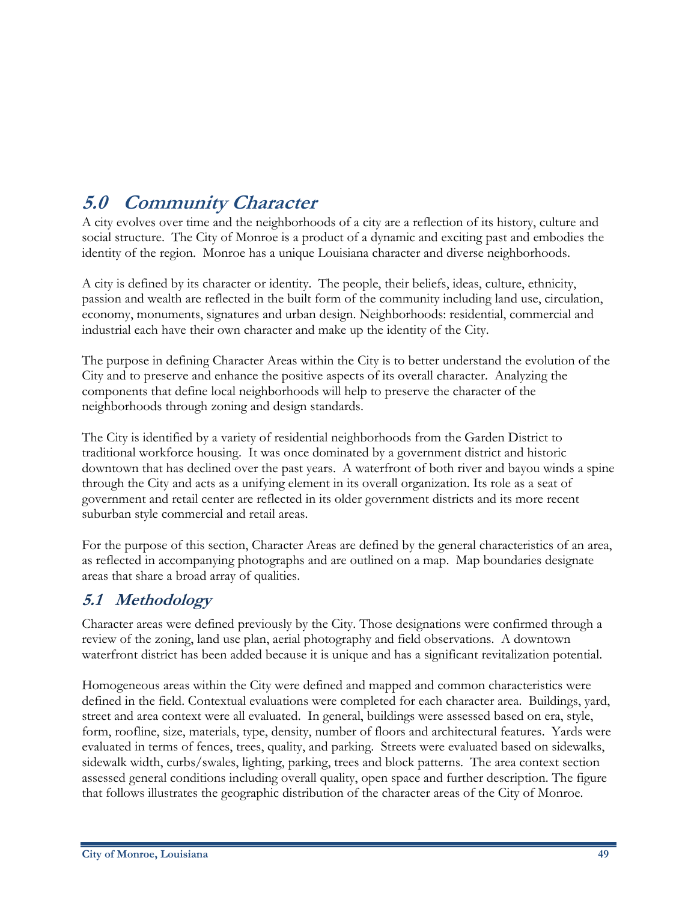# **5.0 Community Character**

A city evolves over time and the neighborhoods of a city are a reflection of its history, culture and social structure. The City of Monroe is a product of a dynamic and exciting past and embodies the identity of the region. Monroe has a unique Louisiana character and diverse neighborhoods.

A city is defined by its character or identity. The people, their beliefs, ideas, culture, ethnicity, passion and wealth are reflected in the built form of the community including land use, circulation, economy, monuments, signatures and urban design. Neighborhoods: residential, commercial and industrial each have their own character and make up the identity of the City.

The purpose in defining Character Areas within the City is to better understand the evolution of the City and to preserve and enhance the positive aspects of its overall character. Analyzing the components that define local neighborhoods will help to preserve the character of the neighborhoods through zoning and design standards.

The City is identified by a variety of residential neighborhoods from the Garden District to traditional workforce housing. It was once dominated by a government district and historic downtown that has declined over the past years. A waterfront of both river and bayou winds a spine through the City and acts as a unifying element in its overall organization. Its role as a seat of government and retail center are reflected in its older government districts and its more recent suburban style commercial and retail areas.

For the purpose of this section, Character Areas are defined by the general characteristics of an area, as reflected in accompanying photographs and are outlined on a map. Map boundaries designate areas that share a broad array of qualities.

# **5.1 Methodology**

Character areas were defined previously by the City. Those designations were confirmed through a review of the zoning, land use plan, aerial photography and field observations. A downtown waterfront district has been added because it is unique and has a significant revitalization potential.

Homogeneous areas within the City were defined and mapped and common characteristics were defined in the field. Contextual evaluations were completed for each character area. Buildings, yard, street and area context were all evaluated. In general, buildings were assessed based on era, style, form, roofline, size, materials, type, density, number of floors and architectural features. Yards were evaluated in terms of fences, trees, quality, and parking. Streets were evaluated based on sidewalks, sidewalk width, curbs/swales, lighting, parking, trees and block patterns. The area context section assessed general conditions including overall quality, open space and further description. The figure that follows illustrates the geographic distribution of the character areas of the City of Monroe.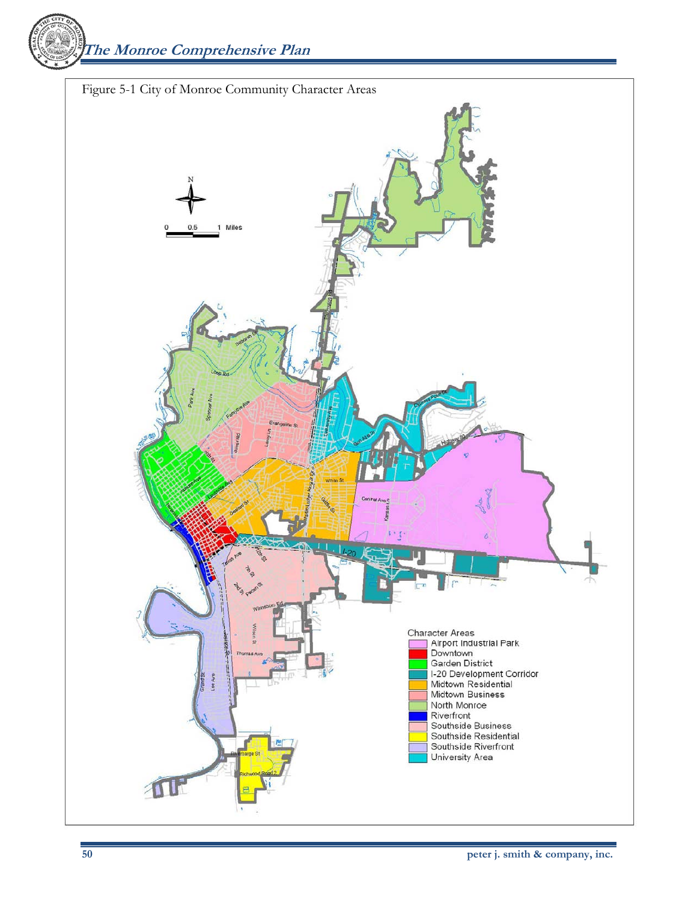**The Monroe Comprehensive Plan** 

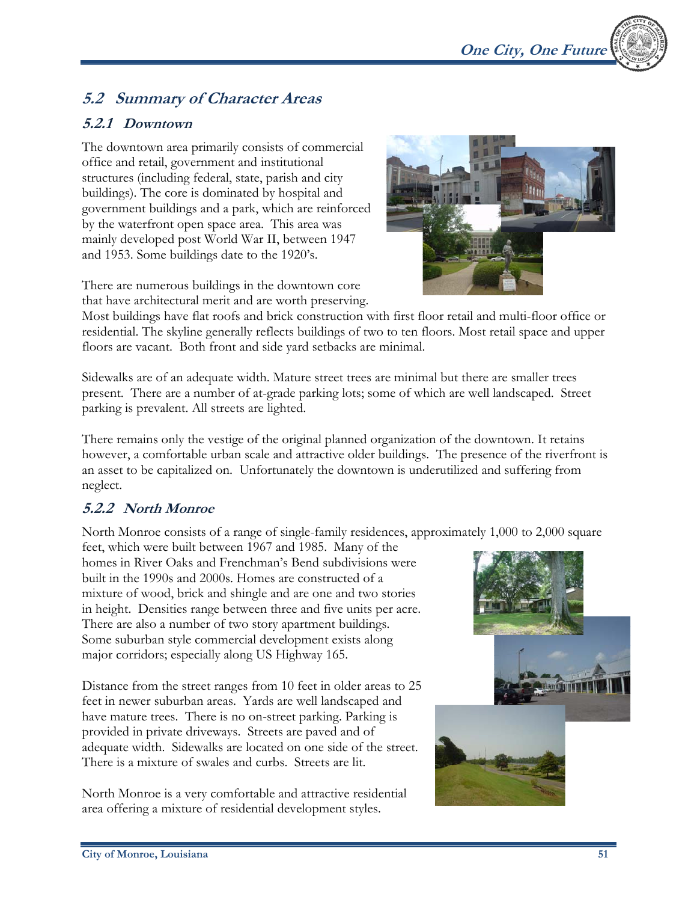# **5.2 Summary of Character Areas**

## **5.2.1 Downtown**

The downtown area primarily consists of commercial office and retail, government and institutional structures (including federal, state, parish and city buildings). The core is dominated by hospital and government buildings and a park, which are reinforced by the waterfront open space area. This area was mainly developed post World War II, between 1947 and 1953. Some buildings date to the 1920's.

There are numerous buildings in the downtown core that have architectural merit and are worth preserving.

Most buildings have flat roofs and brick construction with first floor retail and multi-floor office or residential. The skyline generally reflects buildings of two to ten floors. Most retail space and upper floors are vacant. Both front and side yard setbacks are minimal.

Sidewalks are of an adequate width. Mature street trees are minimal but there are smaller trees present. There are a number of at-grade parking lots; some of which are well landscaped. Street parking is prevalent. All streets are lighted.

There remains only the vestige of the original planned organization of the downtown. It retains however, a comfortable urban scale and attractive older buildings. The presence of the riverfront is an asset to be capitalized on. Unfortunately the downtown is underutilized and suffering from neglect.

# **5.2.2 North Monroe**

North Monroe consists of a range of single-family residences, approximately 1,000 to 2,000 square

feet, which were built between 1967 and 1985. Many of the homes in River Oaks and Frenchman's Bend subdivisions were built in the 1990s and 2000s. Homes are constructed of a mixture of wood, brick and shingle and are one and two stories in height. Densities range between three and five units per acre. There are also a number of two story apartment buildings. Some suburban style commercial development exists along major corridors; especially along US Highway 165.

Distance from the street ranges from 10 feet in older areas to 25 feet in newer suburban areas. Yards are well landscaped and have mature trees. There is no on-street parking. Parking is provided in private driveways. Streets are paved and of adequate width. Sidewalks are located on one side of the street. There is a mixture of swales and curbs. Streets are lit.

North Monroe is a very comfortable and attractive residential area offering a mixture of residential development styles.





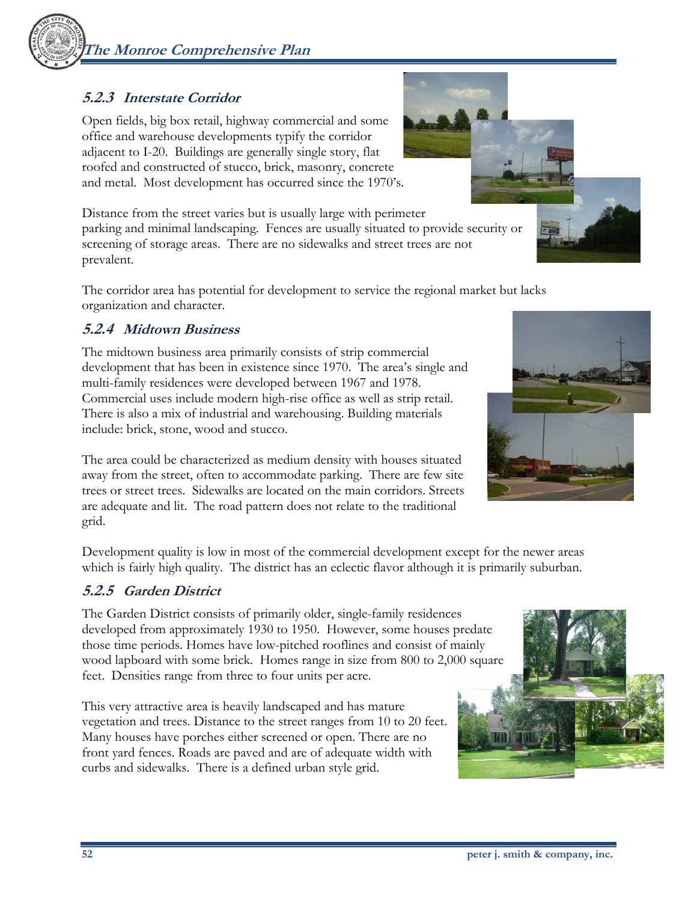# **The Monroe Comprehensive Plan**

# **5.2.3 Interstate Corridor**

Open fields, big box retail, highway commercial and some office and warehouse developments typify the corridor adjacent to I-20. Buildings are generally single story, flat roofed and constructed of stucco, brick, masonry, concrete and metal. Most development has occurred since the 1970's.

Distance from the street varies but is usually large with perimeter parking and minimal landscaping. Fences are usually situated to provide security or screening of storage areas. There are no sidewalks and street trees are not prevalent.

The corridor area has potential for development to service the regional market but lacks organization and character.

# **5.2.4 Midtown Business**

The midtown business area primarily consists of strip commercial development that has been in existence since 1970. The area's single and multi-family residences were developed between 1967 and 1978. Commercial uses include modern high-rise office as well as strip retail. There is also a mix of industrial and warehousing. Building materials include: brick, stone, wood and stucco.

The area could be characterized as medium density with houses situated away from the street, often to accommodate parking. There are few site trees or street trees. Sidewalks are located on the main corridors. Streets are adequate and lit. The road pattern does not relate to the traditional grid.

Development quality is low in most of the commercial development except for the newer areas which is fairly high quality. The district has an eclectic flavor although it is primarily suburban.

# **5.2.5 Garden District**

The Garden District consists of primarily older, single-family residences developed from approximately 1930 to 1950. However, some houses predate those time periods. Homes have low-pitched rooflines and consist of mainly wood lapboard with some brick. Homes range in size from 800 to 2,000 square feet. Densities range from three to four units per acre.

This very attractive area is heavily landscaped and has mature vegetation and trees. Distance to the street ranges from 10 to 20 feet. Many houses have porches either screened or open. There are no front yard fences. Roads are paved and are of adequate width with curbs and sidewalks. There is a defined urban style grid.



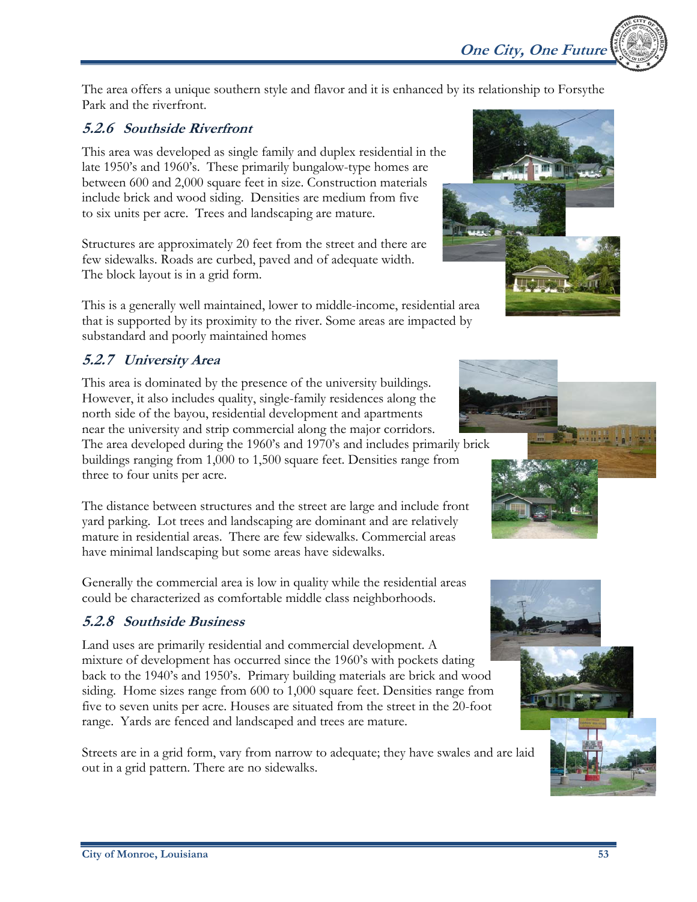The area offers a unique southern style and flavor and it is enhanced by its relationship to Forsythe Park and the riverfront.

#### **5.2.6 Southside Riverfront**

This area was developed as single family and duplex residential in the late 1950's and 1960's. These primarily bungalow-type homes are between 600 and 2,000 square feet in size. Construction materials include brick and wood siding. Densities are medium from five to six units per acre. Trees and landscaping are mature.

Structures are approximately 20 feet from the street and there are few sidewalks. Roads are curbed, paved and of adequate width. The block layout is in a grid form.

This is a generally well maintained, lower to middle-income, residential area that is supported by its proximity to the river. Some areas are impacted by substandard and poorly maintained homes

# **5.2.7 University Area**

This area is dominated by the presence of the university buildings. However, it also includes quality, single-family residences along the north side of the bayou, residential development and apartments near the university and strip commercial along the major corridors. The area developed during the 1960's and 1970's and includes primarily brick buildings ranging from 1,000 to 1,500 square feet. Densities range from three to four units per acre.

The distance between structures and the street are large and include front yard parking. Lot trees and landscaping are dominant and are relatively mature in residential areas. There are few sidewalks. Commercial areas have minimal landscaping but some areas have sidewalks.

Generally the commercial area is low in quality while the residential areas could be characterized as comfortable middle class neighborhoods.

# **5.2.8 Southside Business**

Land uses are primarily residential and commercial development. A mixture of development has occurred since the 1960's with pockets dating back to the 1940's and 1950's. Primary building materials are brick and wood siding. Home sizes range from 600 to 1,000 square feet. Densities range from five to seven units per acre. Houses are situated from the street in the 20-foot range. Yards are fenced and landscaped and trees are mature.

Streets are in a grid form, vary from narrow to adequate; they have swales and are laid out in a grid pattern. There are no sidewalks.











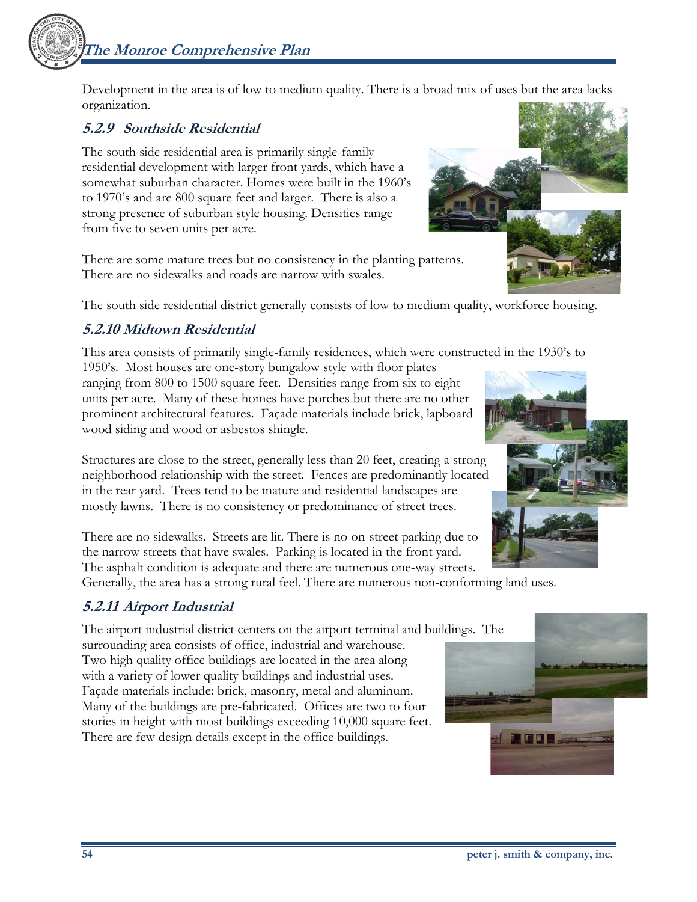**The Monroe Comprehensive Plan** 



Development in the area is of low to medium quality. There is a broad mix of uses but the area lacks organization.

#### **5.2.9 Southside Residential**

The south side residential area is primarily single-family residential development with larger front yards, which have a somewhat suburban character. Homes were built in the 1960's to 1970's and are 800 square feet and larger. There is also a strong presence of suburban style housing. Densities range from five to seven units per acre.

There are some mature trees but no consistency in the planting patterns. There are no sidewalks and roads are narrow with swales.

The south side residential district generally consists of low to medium quality, workforce housing.

# **5.2.10 Midtown Residential**

This area consists of primarily single-family residences, which were constructed in the 1930's to

1950's. Most houses are one-story bungalow style with floor plates ranging from 800 to 1500 square feet. Densities range from six to eight units per acre. Many of these homes have porches but there are no other prominent architectural features. Façade materials include brick, lapboard wood siding and wood or asbestos shingle.

Structures are close to the street, generally less than 20 feet, creating a strong neighborhood relationship with the street. Fences are predominantly located in the rear yard. Trees tend to be mature and residential landscapes are mostly lawns. There is no consistency or predominance of street trees.

There are no sidewalks. Streets are lit. There is no on-street parking due to the narrow streets that have swales. Parking is located in the front yard. The asphalt condition is adequate and there are numerous one-way streets.

Generally, the area has a strong rural feel. There are numerous non-conforming land uses.

# **5.2.11 Airport Industrial**

The airport industrial district centers on the airport terminal and buildings. The surrounding area consists of office, industrial and warehouse. Two high quality office buildings are located in the area along with a variety of lower quality buildings and industrial uses. Façade materials include: brick, masonry, metal and aluminum. Many of the buildings are pre-fabricated. Offices are two to four stories in height with most buildings exceeding 10,000 square feet. There are few design details except in the office buildings.



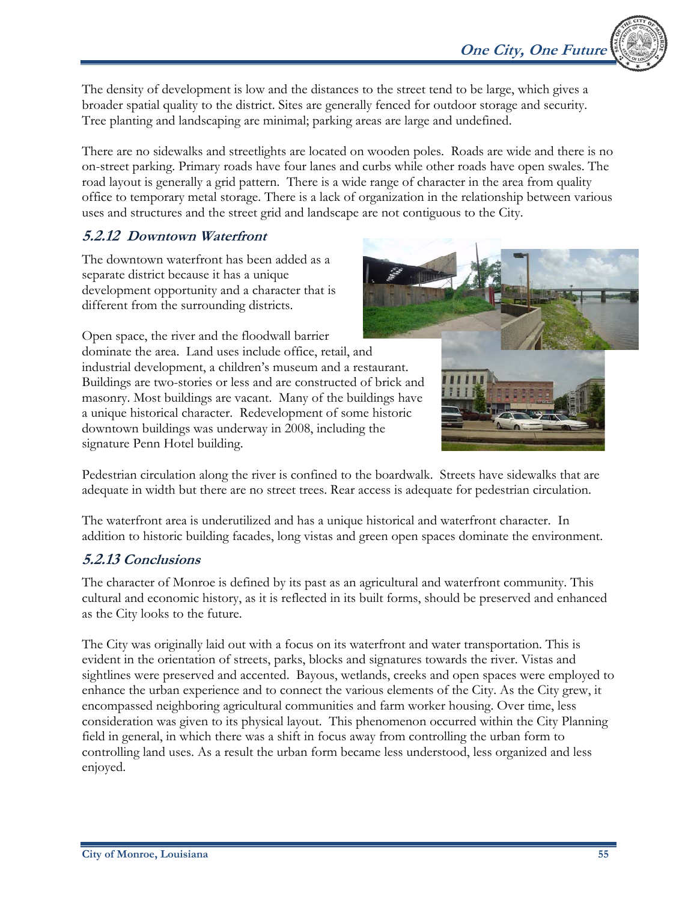The density of development is low and the distances to the street tend to be large, which gives a broader spatial quality to the district. Sites are generally fenced for outdoor storage and security. Tree planting and landscaping are minimal; parking areas are large and undefined.

There are no sidewalks and streetlights are located on wooden poles. Roads are wide and there is no on-street parking. Primary roads have four lanes and curbs while other roads have open swales. The road layout is generally a grid pattern. There is a wide range of character in the area from quality office to temporary metal storage. There is a lack of organization in the relationship between various uses and structures and the street grid and landscape are not contiguous to the City.

# **5.2.12 Downtown Waterfront**

The downtown waterfront has been added as a separate district because it has a unique development opportunity and a character that is different from the surrounding districts.

Open space, the river and the floodwall barrier dominate the area. Land uses include office, retail, and industrial development, a children's museum and a restaurant. Buildings are two-stories or less and are constructed of brick and masonry. Most buildings are vacant. Many of the buildings have a unique historical character. Redevelopment of some historic downtown buildings was underway in 2008, including the signature Penn Hotel building.



Pedestrian circulation along the river is confined to the boardwalk. Streets have sidewalks that are adequate in width but there are no street trees. Rear access is adequate for pedestrian circulation.

The waterfront area is underutilized and has a unique historical and waterfront character. In addition to historic building facades, long vistas and green open spaces dominate the environment.

## **5.2.13 Conclusions**

The character of Monroe is defined by its past as an agricultural and waterfront community. This cultural and economic history, as it is reflected in its built forms, should be preserved and enhanced as the City looks to the future.

The City was originally laid out with a focus on its waterfront and water transportation. This is evident in the orientation of streets, parks, blocks and signatures towards the river. Vistas and sightlines were preserved and accented. Bayous, wetlands, creeks and open spaces were employed to enhance the urban experience and to connect the various elements of the City. As the City grew, it encompassed neighboring agricultural communities and farm worker housing. Over time, less consideration was given to its physical layout. This phenomenon occurred within the City Planning field in general, in which there was a shift in focus away from controlling the urban form to controlling land uses. As a result the urban form became less understood, less organized and less enjoyed.